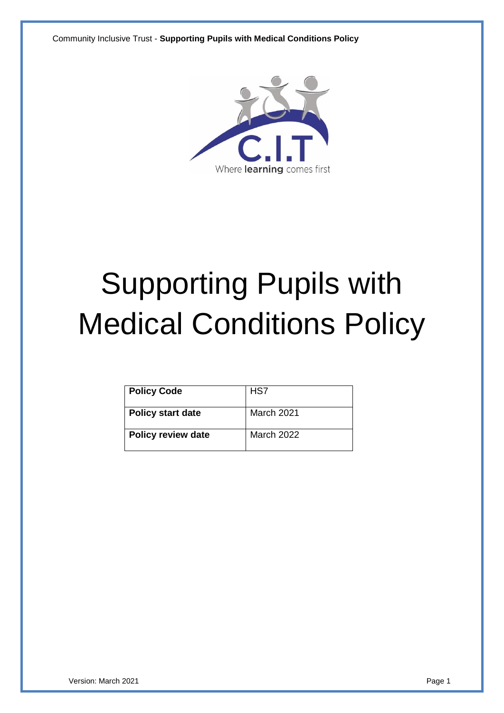

# Supporting Pupils with Medical Conditions Policy

| <b>Policy Code</b>        | HS7        |
|---------------------------|------------|
| <b>Policy start date</b>  | March 2021 |
| <b>Policy review date</b> | March 2022 |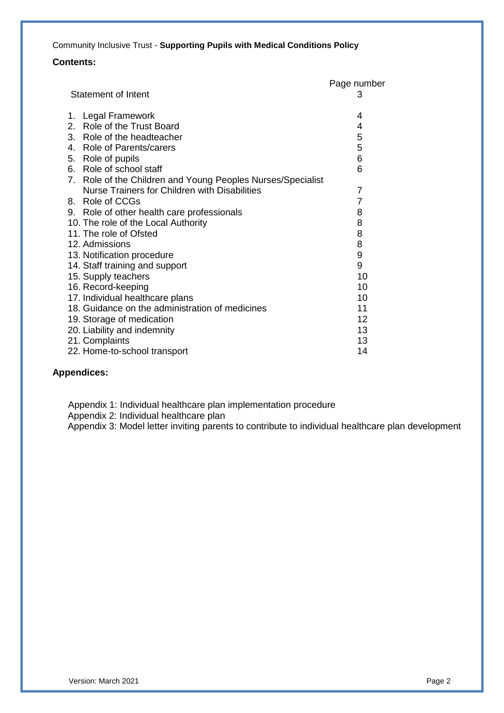#### **Contents:**

|                                                             | Page number    |
|-------------------------------------------------------------|----------------|
| <b>Statement of Intent</b>                                  | З              |
| 1. Legal Framework                                          | 4              |
| 2. Role of the Trust Board                                  | 4              |
| 3. Role of the headteacher                                  | 5              |
| 4. Role of Parents/carers                                   | 5              |
| 5. Role of pupils                                           | 6              |
| 6. Role of school staff                                     | 6              |
| 7. Role of the Children and Young Peoples Nurses/Specialist |                |
| Nurse Trainers for Children with Disabilities               | $\overline{7}$ |
| 8. Role of CCGs                                             | $\overline{7}$ |
| 9. Role of other health care professionals                  | 8              |
| 10. The role of the Local Authority                         | 8              |
| 11. The role of Ofsted                                      | 8              |
| 12. Admissions                                              | 8              |
| 13. Notification procedure                                  | 9              |
| 14. Staff training and support                              | 9              |
| 15. Supply teachers                                         | 10             |
| 16. Record-keeping                                          | 10             |
| 17. Individual healthcare plans                             | 10             |
| 18. Guidance on the administration of medicines             | 11             |
| 19. Storage of medication                                   | 12             |
| 20. Liability and indemnity                                 | 13             |
| 21. Complaints                                              | 13             |
| 22. Home-to-school transport                                | 14             |

#### **Appendices:**

 Appendix 1: Individual healthcare plan implementation procedure Appendix 2: Individual healthcare plan

Appendix 3: Model letter inviting parents to contribute to individual healthcare plan development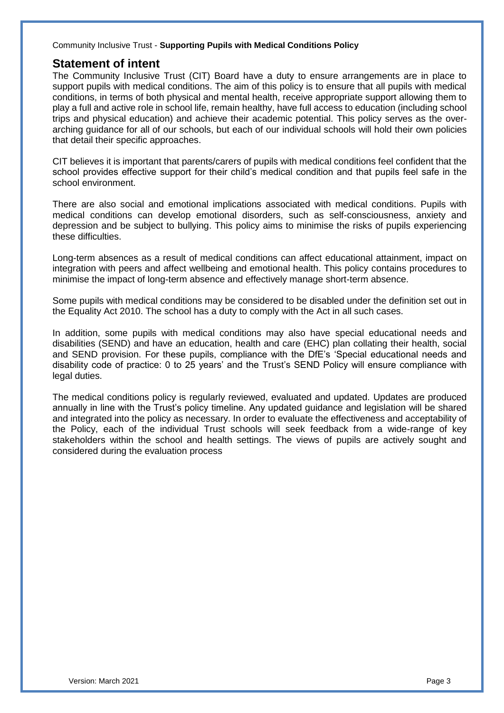#### **Statement of intent**

The Community Inclusive Trust (CIT) Board have a duty to ensure arrangements are in place to support pupils with medical conditions. The aim of this policy is to ensure that all pupils with medical conditions, in terms of both physical and mental health, receive appropriate support allowing them to play a full and active role in school life, remain healthy, have full access to education (including school trips and physical education) and achieve their academic potential. This policy serves as the overarching guidance for all of our schools, but each of our individual schools will hold their own policies that detail their specific approaches.

CIT believes it is important that parents/carers of pupils with medical conditions feel confident that the school provides effective support for their child's medical condition and that pupils feel safe in the school environment.

There are also social and emotional implications associated with medical conditions. Pupils with medical conditions can develop emotional disorders, such as self-consciousness, anxiety and depression and be subject to bullying. This policy aims to minimise the risks of pupils experiencing these difficulties.

Long-term absences as a result of medical conditions can affect educational attainment, impact on integration with peers and affect wellbeing and emotional health. This policy contains procedures to minimise the impact of long-term absence and effectively manage short-term absence.

Some pupils with medical conditions may be considered to be disabled under the definition set out in the Equality Act 2010. The school has a duty to comply with the Act in all such cases.

In addition, some pupils with medical conditions may also have special educational needs and disabilities (SEND) and have an education, health and care (EHC) plan collating their health, social and SEND provision. For these pupils, compliance with the DfE's 'Special educational needs and disability code of practice: 0 to 25 years' and the Trust's SEND Policy will ensure compliance with legal duties.

The medical conditions policy is regularly reviewed, evaluated and updated. Updates are produced annually in line with the Trust's policy timeline. Any updated guidance and legislation will be shared and integrated into the policy as necessary. In order to evaluate the effectiveness and acceptability of the Policy, each of the individual Trust schools will seek feedback from a wide-range of key stakeholders within the school and health settings. The views of pupils are actively sought and considered during the evaluation process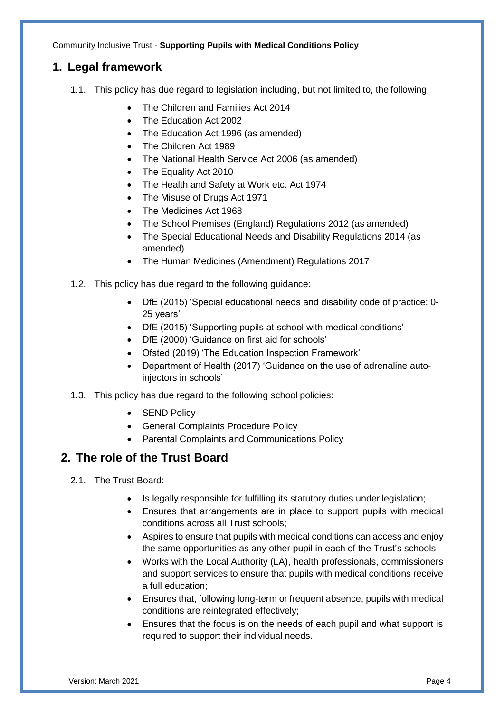## **1. Legal framework**

- 1.1. This policy has due regard to legislation including, but not limited to, the following:
	- The Children and Families Act 2014
	- The Education Act 2002
	- The Education Act 1996 (as amended)
	- The Children Act 1989
	- The National Health Service Act 2006 (as amended)
	- The Equality Act 2010
	- The Health and Safety at Work etc. Act 1974
	- The Misuse of Drugs Act 1971
	- The Medicines Act 1968
	- The School Premises (England) Regulations 2012 (as amended)
	- The Special Educational Needs and Disability Regulations 2014 (as amended)
	- The Human Medicines (Amendment) Regulations 2017
- 1.2. This policy has due regard to the following guidance:
	- DfE (2015) 'Special educational needs and disability code of practice: 0- 25 years'
	- DfE (2015) 'Supporting pupils at school with medical conditions'
	- DfE (2000) 'Guidance on first aid for schools'
	- Ofsted (2019) 'The Education Inspection Framework'
	- Department of Health (2017) 'Guidance on the use of adrenaline autoinjectors in schools'
- 1.3. This policy has due regard to the following school policies:
	- SEND Policy
	- General Complaints Procedure Policy
	- Parental Complaints and Communications Policy

## **2. The role of the Trust Board**

- 2.1. The Trust Board:
	- Is legally responsible for fulfilling its statutory duties under legislation:
	- Ensures that arrangements are in place to support pupils with medical conditions across all Trust schools;
	- Aspires to ensure that pupils with medical conditions can access and enjoy the same opportunities as any other pupil in each of the Trust's schools;
	- Works with the Local Authority (LA), health professionals, commissioners and support services to ensure that pupils with medical conditions receive a full education;
	- Ensures that, following long-term or frequent absence, pupils with medical conditions are reintegrated effectively;
	- Ensures that the focus is on the needs of each pupil and what support is required to support their individual needs.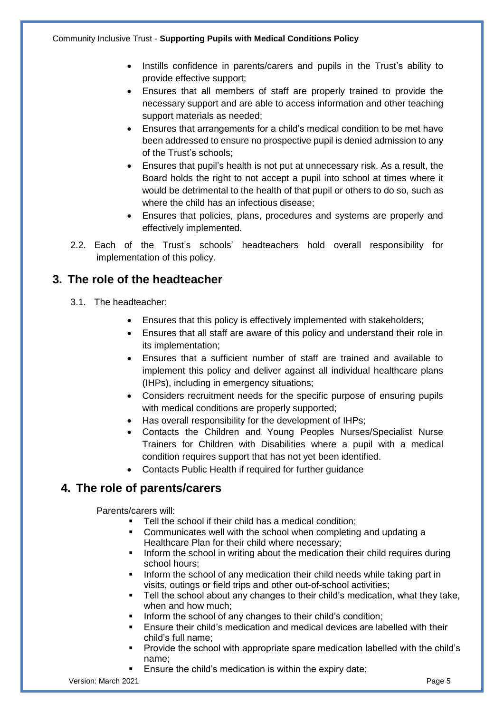- Instills confidence in parents/carers and pupils in the Trust's ability to provide effective support;
- Ensures that all members of staff are properly trained to provide the necessary support and are able to access information and other teaching support materials as needed;
- Ensures that arrangements for a child's medical condition to be met have been addressed to ensure no prospective pupil is denied admission to any of the Trust's schools;
- Ensures that pupil's health is not put at unnecessary risk. As a result, the Board holds the right to not accept a pupil into school at times where it would be detrimental to the health of that pupil or others to do so, such as where the child has an infectious disease;
- Ensures that policies, plans, procedures and systems are properly and effectively implemented.
- 2.2. Each of the Trust's schools' headteachers hold overall responsibility for implementation of this policy.

## **3. The role of the headteacher**

- 3.1. The headteacher:
	- Ensures that this policy is effectively implemented with stakeholders;
	- Ensures that all staff are aware of this policy and understand their role in its implementation;
	- Ensures that a sufficient number of staff are trained and available to implement this policy and deliver against all individual healthcare plans (IHPs), including in emergency situations;
	- Considers recruitment needs for the specific purpose of ensuring pupils with medical conditions are properly supported;
	- Has overall responsibility for the development of IHPs;
	- Contacts the Children and Young Peoples Nurses/Specialist Nurse Trainers for Children with Disabilities where a pupil with a medical condition requires support that has not yet been identified.
	- Contacts Public Health if required for further guidance

## **4. The role of parents/carers**

Parents/carers will:

- **Tell the school if their child has a medical condition;**
- Communicates well with the school when completing and updating a Healthcare Plan for their child where necessary;
- Inform the school in writing about the medication their child requires during school hours;
- Inform the school of any medication their child needs while taking part in visits, outings or field trips and other out-of-school activities;
- **Tell the school about any changes to their child's medication, what they take,** when and how much;
- Inform the school of any changes to their child's condition;
- Ensure their child's medication and medical devices are labelled with their child's full name;
- Provide the school with appropriate spare medication labelled with the child's name;
- Ensure the child's medication is within the expiry date;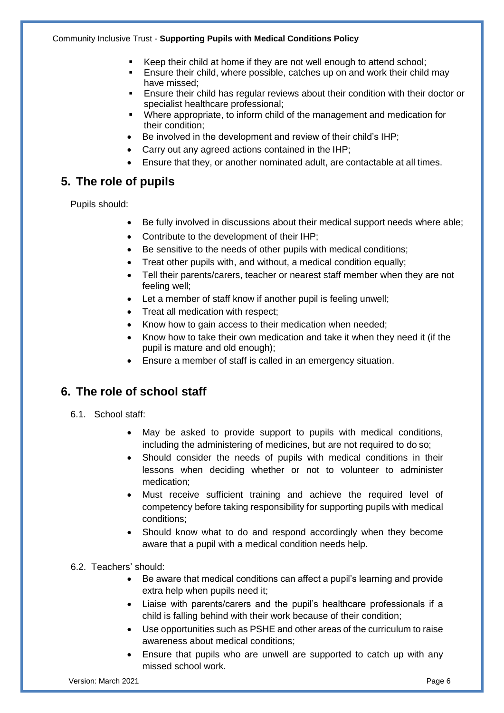- Keep their child at home if they are not well enough to attend school;
- Ensure their child, where possible, catches up on and work their child may have missed;
- Ensure their child has regular reviews about their condition with their doctor or specialist healthcare professional;
- Where appropriate, to inform child of the management and medication for their condition;
- Be involved in the development and review of their child's IHP;
- Carry out any agreed actions contained in the IHP;
- Ensure that they, or another nominated adult, are contactable at all times.

## **5. The role of pupils**

Pupils should:

- Be fully involved in discussions about their medical support needs where able;
- Contribute to the development of their IHP;
- Be sensitive to the needs of other pupils with medical conditions;
- Treat other pupils with, and without, a medical condition equally;
- Tell their parents/carers, teacher or nearest staff member when they are not feeling well;
- Let a member of staff know if another pupil is feeling unwell;
- Treat all medication with respect;
- Know how to gain access to their medication when needed;
- Know how to take their own medication and take it when they need it (if the pupil is mature and old enough);
- Ensure a member of staff is called in an emergency situation.

## **6. The role of school staff**

- 6.1. School staff:
	- May be asked to provide support to pupils with medical conditions, including the administering of medicines, but are not required to do so;
	- Should consider the needs of pupils with medical conditions in their lessons when deciding whether or not to volunteer to administer medication;
	- Must receive sufficient training and achieve the required level of competency before taking responsibility for supporting pupils with medical conditions;
	- Should know what to do and respond accordingly when they become aware that a pupil with a medical condition needs help.

#### 6.2. Teachers' should:

- Be aware that medical conditions can affect a pupil's learning and provide extra help when pupils need it;
- Liaise with parents/carers and the pupil's healthcare professionals if a child is falling behind with their work because of their condition;
- Use opportunities such as PSHE and other areas of the curriculum to raise awareness about medical conditions;
- Ensure that pupils who are unwell are supported to catch up with any missed school work.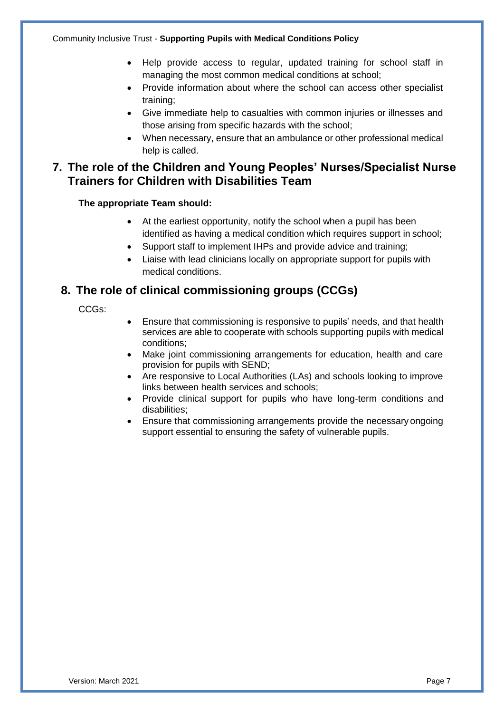- Help provide access to regular, updated training for school staff in managing the most common medical conditions at school;
- Provide information about where the school can access other specialist training;
- Give immediate help to casualties with common injuries or illnesses and those arising from specific hazards with the school;
- When necessary, ensure that an ambulance or other professional medical help is called.

## **7. The role of the Children and Young Peoples' Nurses/Specialist Nurse Trainers for Children with Disabilities Team**

#### **The appropriate Team should:**

- At the earliest opportunity, notify the school when a pupil has been identified as having a medical condition which requires support in school;
- Support staff to implement IHPs and provide advice and training;
- Liaise with lead clinicians locally on appropriate support for pupils with medical conditions.

## **8. The role of clinical commissioning groups (CCGs)**

#### CCGs:

- Ensure that commissioning is responsive to pupils' needs, and that health services are able to cooperate with schools supporting pupils with medical conditions;
- Make joint commissioning arrangements for education, health and care provision for pupils with SEND;
- Are responsive to Local Authorities (LAs) and schools looking to improve links between health services and schools;
- Provide clinical support for pupils who have long-term conditions and disabilities;
- Ensure that commissioning arrangements provide the necessary ongoing support essential to ensuring the safety of vulnerable pupils.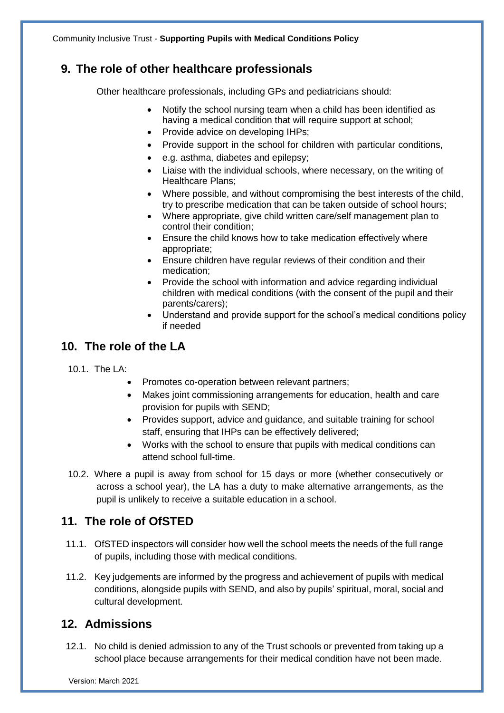## **9. The role of other healthcare professionals**

Other healthcare professionals, including GPs and pediatricians should:

- Notify the school nursing team when a child has been identified as having a medical condition that will require support at school;
- Provide advice on developing IHPs;
- Provide support in the school for children with particular conditions,
- e.g. asthma, diabetes and epilepsy;
- Liaise with the individual schools, where necessary, on the writing of Healthcare Plans;
- Where possible, and without compromising the best interests of the child, try to prescribe medication that can be taken outside of school hours;
- Where appropriate, give child written care/self management plan to control their condition;
- Ensure the child knows how to take medication effectively where appropriate;
- Ensure children have regular reviews of their condition and their medication;
- Provide the school with information and advice regarding individual children with medical conditions (with the consent of the pupil and their parents/carers);
- Understand and provide support for the school's medical conditions policy if needed

## **10. The role of the LA**

- 10.1. The LA:
	- Promotes co-operation between relevant partners;
	- Makes joint commissioning arrangements for education, health and care provision for pupils with SEND;
	- Provides support, advice and guidance, and suitable training for school staff, ensuring that IHPs can be effectively delivered;
	- Works with the school to ensure that pupils with medical conditions can attend school full-time.
- 10.2. Where a pupil is away from school for 15 days or more (whether consecutively or across a school year), the LA has a duty to make alternative arrangements, as the pupil is unlikely to receive a suitable education in a school.

## **11. The role of OfSTED**

- 11.1. OfSTED inspectors will consider how well the school meets the needs of the full range of pupils, including those with medical conditions.
- 11.2. Key judgements are informed by the progress and achievement of pupils with medical conditions, alongside pupils with SEND, and also by pupils' spiritual, moral, social and cultural development.

## **12. Admissions**

12.1. No child is denied admission to any of the Trust schools or prevented from taking up a school place because arrangements for their medical condition have not been made.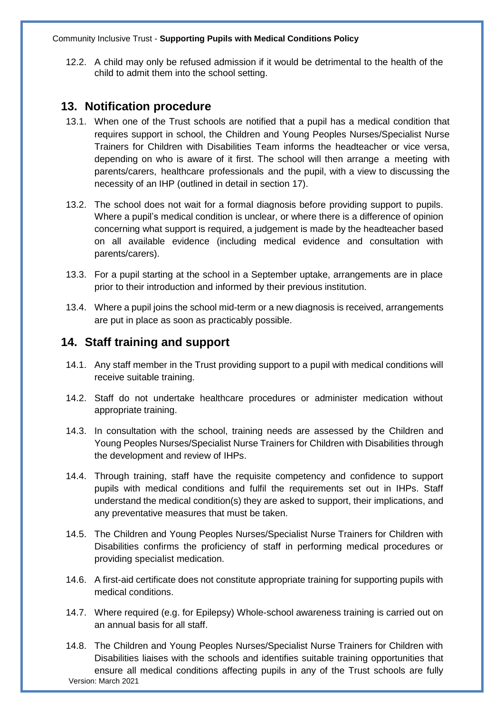12.2. A child may only be refused admission if it would be detrimental to the health of the child to admit them into the school setting.

#### **13. Notification procedure**

- 13.1. When one of the Trust schools are notified that a pupil has a medical condition that requires support in school, the Children and Young Peoples Nurses/Specialist Nurse Trainers for Children with Disabilities Team informs the headteacher or vice versa, depending on who is aware of it first. The school will then arrange a meeting with parents/carers, healthcare professionals and the pupil, with a view to discussing the necessity of an IHP (outlined in detail in section 17).
- 13.2. The school does not wait for a formal diagnosis before providing support to pupils. Where a pupil's medical condition is unclear, or where there is a difference of opinion concerning what support is required, a judgement is made by the headteacher based on all available evidence (including medical evidence and consultation with parents/carers).
- 13.3. For a pupil starting at the school in a September uptake, arrangements are in place prior to their introduction and informed by their previous institution.
- 13.4. Where a pupil joins the school mid-term or a new diagnosis is received, arrangements are put in place as soon as practicably possible.

#### **14. Staff training and support**

- 14.1. Any staff member in the Trust providing support to a pupil with medical conditions will receive suitable training.
- 14.2. Staff do not undertake healthcare procedures or administer medication without appropriate training.
- 14.3. In consultation with the school, training needs are assessed by the Children and Young Peoples Nurses/Specialist Nurse Trainers for Children with Disabilities through the development and review of IHPs.
- 14.4. Through training, staff have the requisite competency and confidence to support pupils with medical conditions and fulfil the requirements set out in IHPs. Staff understand the medical condition(s) they are asked to support, their implications, and any preventative measures that must be taken.
- 14.5. The Children and Young Peoples Nurses/Specialist Nurse Trainers for Children with Disabilities confirms the proficiency of staff in performing medical procedures or providing specialist medication.
- 14.6. A first-aid certificate does not constitute appropriate training for supporting pupils with medical conditions.
- 14.7. Where required (e.g. for Epilepsy) Whole-school awareness training is carried out on an annual basis for all staff.
- Version: March 2021 14.8. The Children and Young Peoples Nurses/Specialist Nurse Trainers for Children with Disabilities liaises with the schools and identifies suitable training opportunities that ensure all medical conditions affecting pupils in any of the Trust schools are fully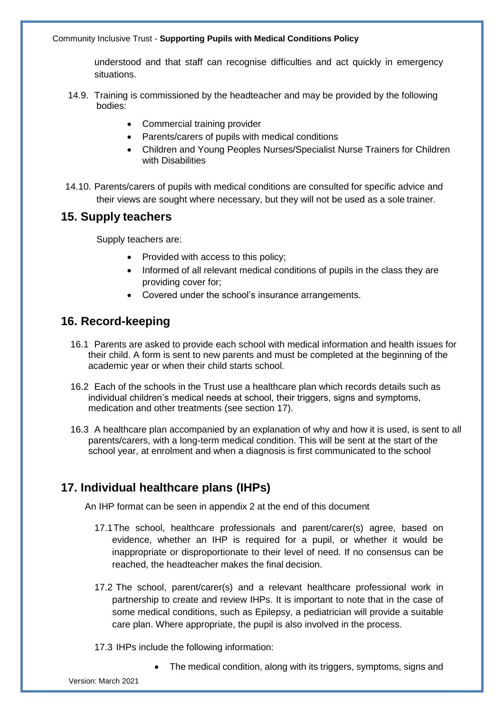understood and that staff can recognise difficulties and act quickly in emergency situations.

- 14.9. Training is commissioned by the headteacher and may be provided by the following bodies:
	- Commercial training provider
	- Parents/carers of pupils with medical conditions
	- Children and Young Peoples Nurses/Specialist Nurse Trainers for Children with Disabilities
- 14.10. Parents/carers of pupils with medical conditions are consulted for specific advice and their views are sought where necessary, but they will not be used as a sole trainer.

#### **15. Supply teachers**

Supply teachers are:

- Provided with access to this policy;
- Informed of all relevant medical conditions of pupils in the class they are providing cover for;
- Covered under the school's insurance arrangements.

## **16. Record-keeping**

- 16.1 Parents are asked to provide each school with medical information and health issues for their child. A form is sent to new parents and must be completed at the beginning of the academic year or when their child starts school.
- 16.2 Each of the schools in the Trust use a healthcare plan which records details such as individual children's medical needs at school, their triggers, signs and symptoms, medication and other treatments (see section 17).
- 16.3 A healthcare plan accompanied by an explanation of why and how it is used, is sent to all parents/carers, with a long-term medical condition. This will be sent at the start of the school year, at enrolment and when a diagnosis is first communicated to the school

## **17. Individual healthcare plans (IHPs)**

An IHP format can be seen in appendix 2 at the end of this document

- 17.1The school, healthcare professionals and parent/carer(s) agree, based on evidence, whether an IHP is required for a pupil, or whether it would be inappropriate or disproportionate to their level of need. If no consensus can be reached, the headteacher makes the final decision.
- 17.2 The school, parent/carer(s) and a relevant healthcare professional work in partnership to create and review IHPs. It is important to note that in the case of some medical conditions, such as Epilepsy, a pediatrician will provide a suitable care plan. Where appropriate, the pupil is also involved in the process.
- 17.3 IHPs include the following information:
	- The medical condition, along with its triggers, symptoms, signs and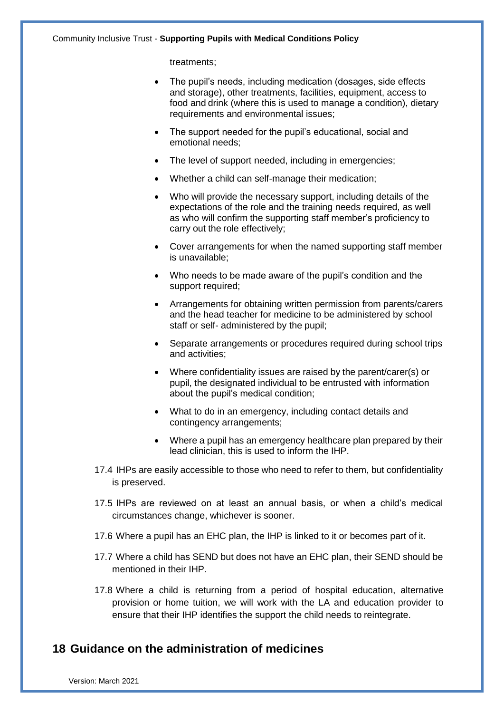treatments;

- The pupil's needs, including medication (dosages, side effects and storage), other treatments, facilities, equipment, access to food and drink (where this is used to manage a condition), dietary requirements and environmental issues;
- The support needed for the pupil's educational, social and emotional needs;
- The level of support needed, including in emergencies;
- Whether a child can self-manage their medication;
- Who will provide the necessary support, including details of the expectations of the role and the training needs required, as well as who will confirm the supporting staff member's proficiency to carry out the role effectively;
- Cover arrangements for when the named supporting staff member is unavailable;
- Who needs to be made aware of the pupil's condition and the support required;
- Arrangements for obtaining written permission from parents/carers and the head teacher for medicine to be administered by school staff or self- administered by the pupil;
- Separate arrangements or procedures required during school trips and activities;
- Where confidentiality issues are raised by the parent/carer(s) or pupil, the designated individual to be entrusted with information about the pupil's medical condition;
- What to do in an emergency, including contact details and contingency arrangements;
- Where a pupil has an emergency healthcare plan prepared by their lead clinician, this is used to inform the IHP.
- 17.4 IHPs are easily accessible to those who need to refer to them, but confidentiality is preserved.
- 17.5 IHPs are reviewed on at least an annual basis, or when a child's medical circumstances change, whichever is sooner.
- 17.6 Where a pupil has an EHC plan, the IHP is linked to it or becomes part of it.
- 17.7 Where a child has SEND but does not have an EHC plan, their SEND should be mentioned in their IHP.
- 17.8 Where a child is returning from a period of hospital education, alternative provision or home tuition, we will work with the LA and education provider to ensure that their IHP identifies the support the child needs to reintegrate.

#### **18 Guidance on the administration of medicines**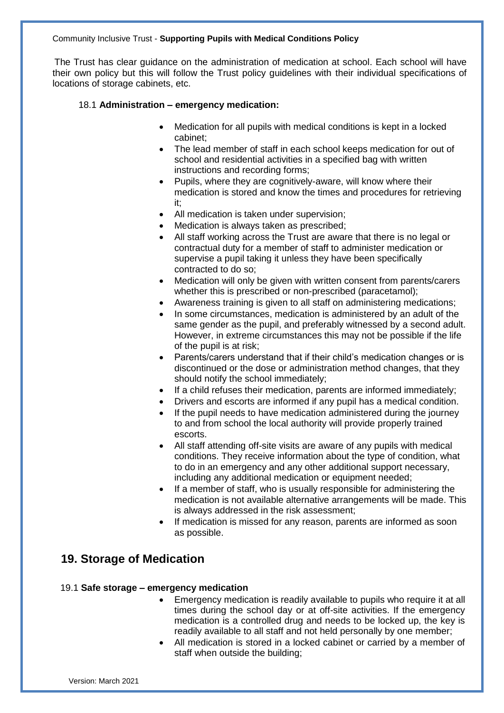The Trust has clear guidance on the administration of medication at school. Each school will have their own policy but this will follow the Trust policy guidelines with their individual specifications of locations of storage cabinets, etc.

#### 18.1 **Administration – emergency medication:**

- Medication for all pupils with medical conditions is kept in a locked cabinet;
- The lead member of staff in each school keeps medication for out of school and residential activities in a specified bag with written instructions and recording forms;
- Pupils, where they are cognitively-aware, will know where their medication is stored and know the times and procedures for retrieving it;
- All medication is taken under supervision;
- Medication is always taken as prescribed;
- All staff working across the Trust are aware that there is no legal or contractual duty for a member of staff to administer medication or supervise a pupil taking it unless they have been specifically contracted to do so;
- Medication will only be given with written consent from parents/carers whether this is prescribed or non-prescribed (paracetamol);
- Awareness training is given to all staff on administering medications;
- In some circumstances, medication is administered by an adult of the same gender as the pupil, and preferably witnessed by a second adult. However, in extreme circumstances this may not be possible if the life of the pupil is at risk;
- Parents/carers understand that if their child's medication changes or is discontinued or the dose or administration method changes, that they should notify the school immediately;
- If a child refuses their medication, parents are informed immediately;
- Drivers and escorts are informed if any pupil has a medical condition.
- If the pupil needs to have medication administered during the journey to and from school the local authority will provide properly trained escorts.
- All staff attending off-site visits are aware of any pupils with medical conditions. They receive information about the type of condition, what to do in an emergency and any other additional support necessary, including any additional medication or equipment needed;
- If a member of staff, who is usually responsible for administering the medication is not available alternative arrangements will be made. This is always addressed in the risk assessment;
- If medication is missed for any reason, parents are informed as soon as possible.

## **19. Storage of Medication**

#### 19.1 **Safe storage – emergency medication**

- Emergency medication is readily available to pupils who require it at all times during the school day or at off-site activities. If the emergency medication is a controlled drug and needs to be locked up, the key is readily available to all staff and not held personally by one member;
- All medication is stored in a locked cabinet or carried by a member of staff when outside the building;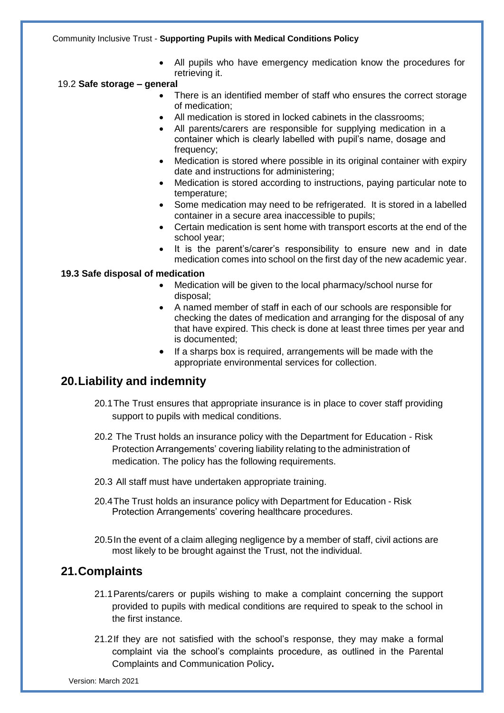All pupils who have emergency medication know the procedures for retrieving it.

#### 19.2 **Safe storage – general**

- There is an identified member of staff who ensures the correct storage of medication;
- All medication is stored in locked cabinets in the classrooms;
- All parents/carers are responsible for supplying medication in a container which is clearly labelled with pupil's name, dosage and frequency;
- Medication is stored where possible in its original container with expiry date and instructions for administering;
- Medication is stored according to instructions, paying particular note to temperature;
- Some medication may need to be refrigerated. It is stored in a labelled container in a secure area inaccessible to pupils;
- Certain medication is sent home with transport escorts at the end of the school year;
- It is the parent's/carer's responsibility to ensure new and in date medication comes into school on the first day of the new academic year.

#### **19.3 Safe disposal of medication**

- Medication will be given to the local pharmacy/school nurse for disposal;
- A named member of staff in each of our schools are responsible for checking the dates of medication and arranging for the disposal of any that have expired. This check is done at least three times per year and is documented;
- If a sharps box is required, arrangements will be made with the appropriate environmental services for collection.

#### **20.Liability and indemnity**

- 20.1The Trust ensures that appropriate insurance is in place to cover staff providing support to pupils with medical conditions.
- 20.2 The Trust holds an insurance policy with the Department for Education Risk Protection Arrangements' covering liability relating to the administration of medication. The policy has the following requirements.
- 20.3 All staff must have undertaken appropriate training.
- 20.4The Trust holds an insurance policy with Department for Education Risk Protection Arrangements' covering healthcare procedures.
- 20.5In the event of a claim alleging negligence by a member of staff, civil actions are most likely to be brought against the Trust, not the individual.

#### **21.Complaints**

- 21.1Parents/carers or pupils wishing to make a complaint concerning the support provided to pupils with medical conditions are required to speak to the school in the first instance.
- 21.2If they are not satisfied with the school's response, they may make a formal complaint via the school's complaints procedure, as outlined in the Parental Complaints and Communication Policy**.**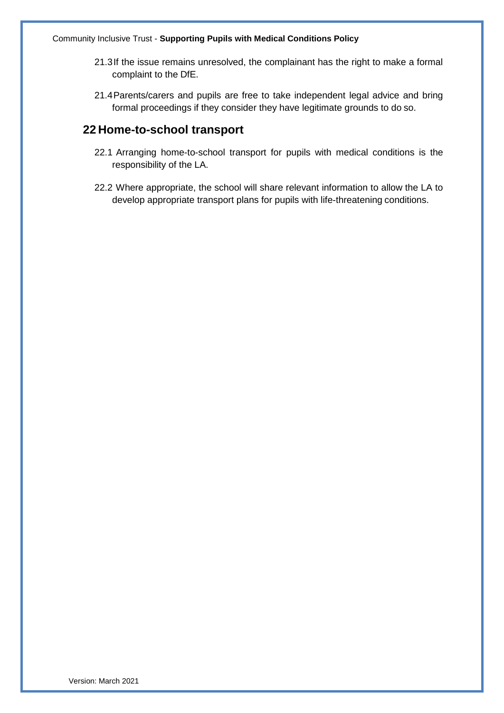- 21.3If the issue remains unresolved, the complainant has the right to make a formal complaint to the DfE.
- 21.4Parents/carers and pupils are free to take independent legal advice and bring formal proceedings if they consider they have legitimate grounds to do so.

## **22 Home-to-school transport**

- 22.1 Arranging home-to-school transport for pupils with medical conditions is the responsibility of the LA.
- 22.2 Where appropriate, the school will share relevant information to allow the LA to develop appropriate transport plans for pupils with life-threatening conditions.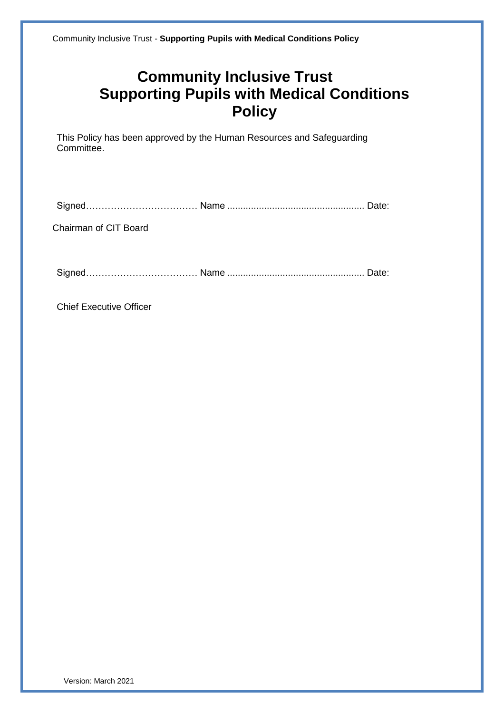This Policy has been approved by the Human Resources and Safeguarding Committee.

Signed…………………………………… Name ……………………………………………… Date:

Chairman of CIT Board

Signed……………………………… Name .................................................... Date:

Chief Executive Officer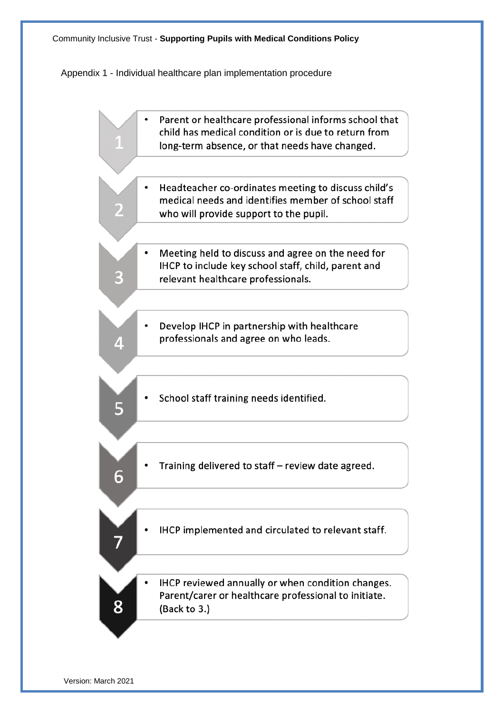Appendix 1 - Individual healthcare plan implementation procedure

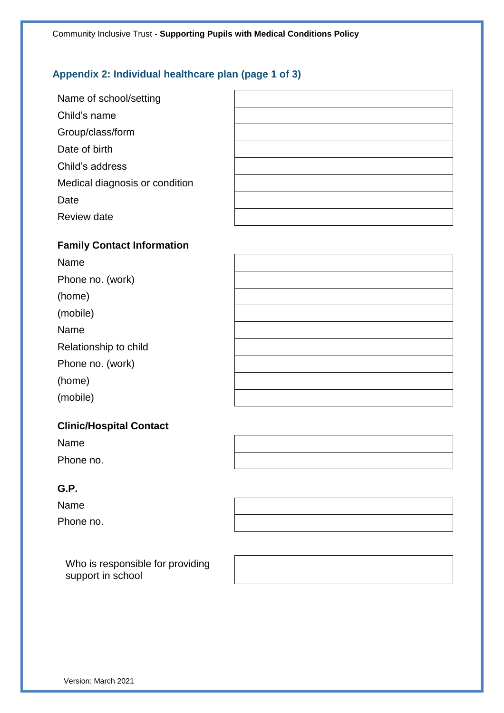## **Appendix 2: Individual healthcare plan (page 1 of 3)**

| Name of school/setting         |  |
|--------------------------------|--|
| Child's name                   |  |
| Group/class/form               |  |
| Date of birth                  |  |
| Child's address                |  |
| Medical diagnosis or condition |  |
| Date                           |  |
| Review date                    |  |

#### **Family Contact Information**

| Name                  |  |
|-----------------------|--|
| Phone no. (work)      |  |
| (home)                |  |
| (mobile)              |  |
| Name                  |  |
| Relationship to child |  |
| Phone no. (work)      |  |
| (home)                |  |
| (mobile)              |  |

#### **Clinic/Hospital Contact**

Name Phone no.

#### **G.P.**

Name Phone no.

Who is responsible for providing support in school

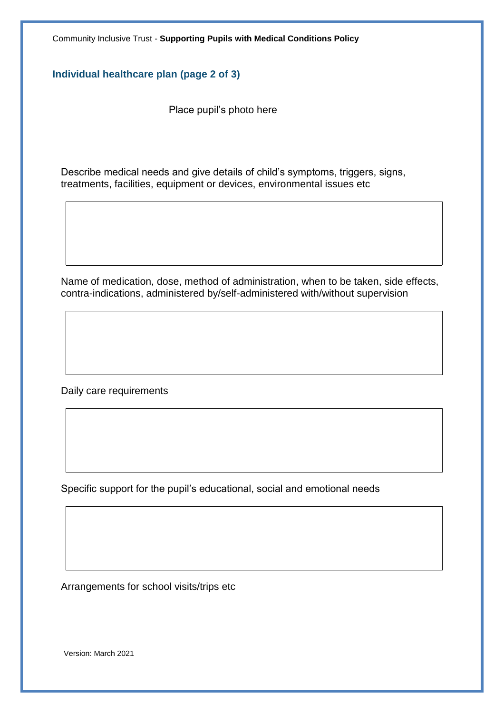**Individual healthcare plan (page 2 of 3)**

Place pupil's photo here

Describe medical needs and give details of child's symptoms, triggers, signs, treatments, facilities, equipment or devices, environmental issues etc

Name of medication, dose, method of administration, when to be taken, side effects, contra-indications, administered by/self-administered with/without supervision

Daily care requirements

Specific support for the pupil's educational, social and emotional needs

Arrangements for school visits/trips etc

Version: March 2021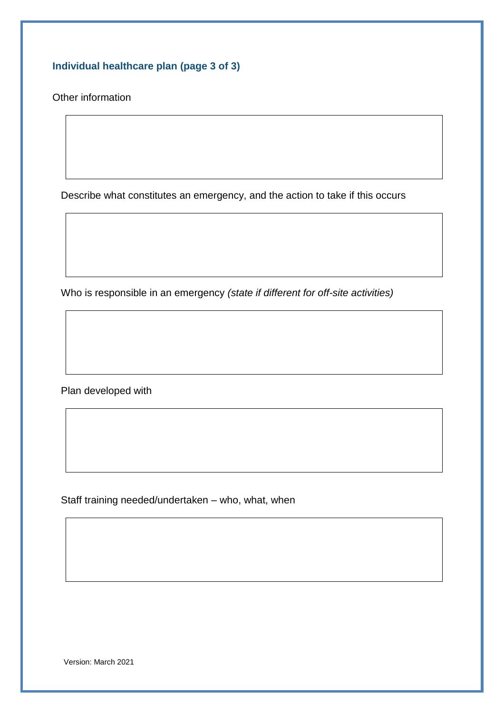**Individual healthcare plan (page 3 of 3)**

Other information

Describe what constitutes an emergency, and the action to take if this occurs

Who is responsible in an emergency *(state if different for off-site activities)*

Plan developed with

Staff training needed/undertaken – who, what, when

Version: March 2021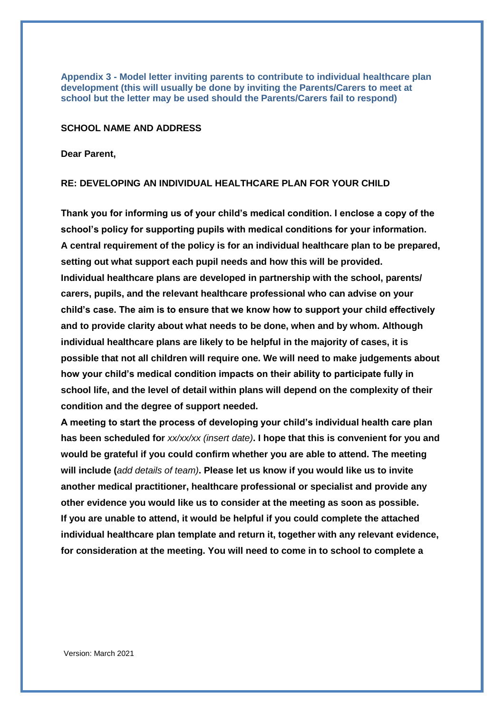**Appendix 3 - Model letter inviting parents to contribute to individual healthcare plan development (this will usually be done by inviting the Parents/Carers to meet at school but the letter may be used should the Parents/Carers fail to respond)**

#### **SCHOOL NAME AND ADDRESS**

**Dear Parent,**

#### **RE: DEVELOPING AN INDIVIDUAL HEALTHCARE PLAN FOR YOUR CHILD**

**Thank you for informing us of your child's medical condition. I enclose a copy of the school's policy for supporting pupils with medical conditions for your information. A central requirement of the policy is for an individual healthcare plan to be prepared, setting out what support each pupil needs and how this will be provided. Individual healthcare plans are developed in partnership with the school, parents/ carers, pupils, and the relevant healthcare professional who can advise on your child's case. The aim is to ensure that we know how to support your child effectively and to provide clarity about what needs to be done, when and by whom. Although individual healthcare plans are likely to be helpful in the majority of cases, it is possible that not all children will require one. We will need to make judgements about how your child's medical condition impacts on their ability to participate fully in school life, and the level of detail within plans will depend on the complexity of their condition and the degree of support needed.**

**A meeting to start the process of developing your child's individual health care plan has been scheduled for** *xx/xx/xx (insert date)***. I hope that this is convenient for you and would be grateful if you could confirm whether you are able to attend. The meeting will include (***add details of team)***. Please let us know if you would like us to invite another medical practitioner, healthcare professional or specialist and provide any other evidence you would like us to consider at the meeting as soon as possible. If you are unable to attend, it would be helpful if you could complete the attached individual healthcare plan template and return it, together with any relevant evidence, for consideration at the meeting. You will need to come in to school to complete a**